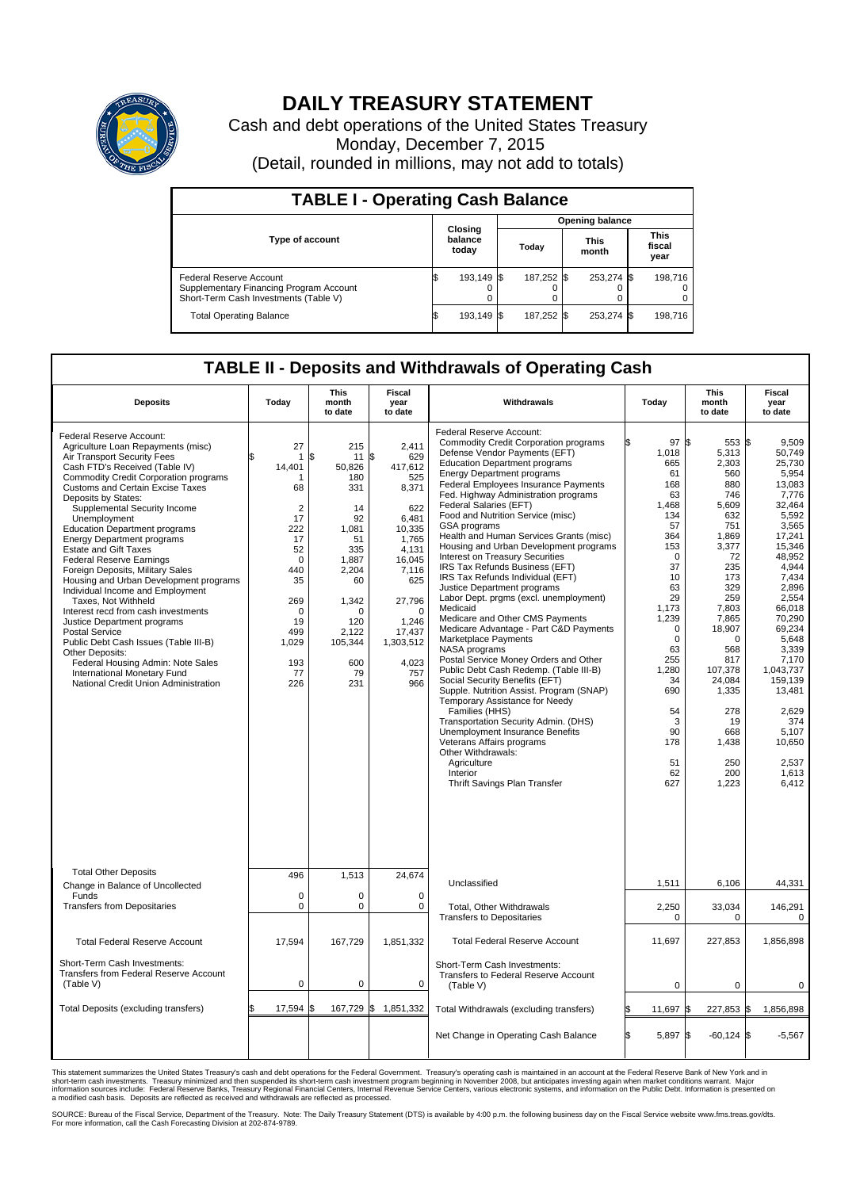

## **DAILY TREASURY STATEMENT**

Cash and debt operations of the United States Treasury Monday, December 7, 2015 (Detail, rounded in millions, may not add to totals)

| <b>TABLE I - Operating Cash Balance</b>                                                                     |    |                             |  |                        |  |                      |  |                               |  |  |  |
|-------------------------------------------------------------------------------------------------------------|----|-----------------------------|--|------------------------|--|----------------------|--|-------------------------------|--|--|--|
|                                                                                                             |    |                             |  | <b>Opening balance</b> |  |                      |  |                               |  |  |  |
| <b>Type of account</b>                                                                                      |    | Closing<br>balance<br>today |  | Today                  |  | <b>This</b><br>month |  | <b>This</b><br>fiscal<br>year |  |  |  |
| Federal Reserve Account<br>Supplementary Financing Program Account<br>Short-Term Cash Investments (Table V) |    | 193.149 \$                  |  | 187,252 \$             |  | 253,274 \$           |  | 198.716                       |  |  |  |
| <b>Total Operating Balance</b>                                                                              | ß. | 193,149 \$                  |  | 187,252 \$             |  | 253,274 \$           |  | 198.716                       |  |  |  |

## **TABLE II - Deposits and Withdrawals of Operating Cash**

| <b>Deposits</b>                                                                                                                                                                                                                                                                                                                                                                                                                                                                                                                                                                                                                                                                                                                                                                                                                                                   | Today                                                                                                                                                                     | <b>This</b><br>month<br>to date                                                                                                                                       | <b>Fiscal</b><br>year<br>to date                                                                                                                                                                 | Withdrawals                                                                                                                                                                                                                                                                                                                                                                                                                                                                                                                                                                                                                                                                                                                                                                                                                                                                                                                                                                                                                                                                                                                                                                  | Today                                                                                                                                                                                                                                        | <b>This</b><br>month<br>to date                                                                                                                                                                                                                                 | Fiscal<br>year<br>to date                                                                                                                                                                                                                                                                                    |
|-------------------------------------------------------------------------------------------------------------------------------------------------------------------------------------------------------------------------------------------------------------------------------------------------------------------------------------------------------------------------------------------------------------------------------------------------------------------------------------------------------------------------------------------------------------------------------------------------------------------------------------------------------------------------------------------------------------------------------------------------------------------------------------------------------------------------------------------------------------------|---------------------------------------------------------------------------------------------------------------------------------------------------------------------------|-----------------------------------------------------------------------------------------------------------------------------------------------------------------------|--------------------------------------------------------------------------------------------------------------------------------------------------------------------------------------------------|------------------------------------------------------------------------------------------------------------------------------------------------------------------------------------------------------------------------------------------------------------------------------------------------------------------------------------------------------------------------------------------------------------------------------------------------------------------------------------------------------------------------------------------------------------------------------------------------------------------------------------------------------------------------------------------------------------------------------------------------------------------------------------------------------------------------------------------------------------------------------------------------------------------------------------------------------------------------------------------------------------------------------------------------------------------------------------------------------------------------------------------------------------------------------|----------------------------------------------------------------------------------------------------------------------------------------------------------------------------------------------------------------------------------------------|-----------------------------------------------------------------------------------------------------------------------------------------------------------------------------------------------------------------------------------------------------------------|--------------------------------------------------------------------------------------------------------------------------------------------------------------------------------------------------------------------------------------------------------------------------------------------------------------|
| Federal Reserve Account:<br>Agriculture Loan Repayments (misc)<br>Air Transport Security Fees<br>Cash FTD's Received (Table IV)<br><b>Commodity Credit Corporation programs</b><br><b>Customs and Certain Excise Taxes</b><br>Deposits by States:<br>Supplemental Security Income<br>Unemployment<br><b>Education Department programs</b><br><b>Energy Department programs</b><br><b>Estate and Gift Taxes</b><br><b>Federal Reserve Earnings</b><br>Foreign Deposits, Military Sales<br>Housing and Urban Development programs<br>Individual Income and Employment<br>Taxes, Not Withheld<br>Interest recd from cash investments<br>Justice Department programs<br><b>Postal Service</b><br>Public Debt Cash Issues (Table III-B)<br>Other Deposits:<br>Federal Housing Admin: Note Sales<br>International Monetary Fund<br>National Credit Union Administration | 27<br>$\mathbf{1}$<br>14,401<br>68<br>$\overline{2}$<br>17<br>222<br>17<br>52<br>$\mathbf 0$<br>440<br>35<br>269<br>$\mathbf 0$<br>19<br>499<br>1,029<br>193<br>77<br>226 | 215<br>\$<br>11<br>50,826<br>180<br>331<br>14<br>92<br>1,081<br>51<br>335<br>1,887<br>2,204<br>60<br>1,342<br>$\Omega$<br>120<br>2.122<br>105,344<br>600<br>79<br>231 | 2,411<br>\$<br>629<br>417,612<br>525<br>8,371<br>622<br>6,481<br>10,335<br>1,765<br>4,131<br>16,045<br>7,116<br>625<br>27,796<br>$\Omega$<br>1,246<br>17.437<br>1,303,512<br>4,023<br>757<br>966 | Federal Reserve Account:<br><b>Commodity Credit Corporation programs</b><br>Defense Vendor Payments (EFT)<br><b>Education Department programs</b><br><b>Energy Department programs</b><br>Federal Employees Insurance Payments<br>Fed. Highway Administration programs<br>Federal Salaries (EFT)<br>Food and Nutrition Service (misc)<br>GSA programs<br>Health and Human Services Grants (misc)<br>Housing and Urban Development programs<br>Interest on Treasury Securities<br>IRS Tax Refunds Business (EFT)<br>IRS Tax Refunds Individual (EFT)<br>Justice Department programs<br>Labor Dept. prgms (excl. unemployment)<br>Medicaid<br>Medicare and Other CMS Payments<br>Medicare Advantage - Part C&D Payments<br>Marketplace Payments<br>NASA programs<br>Postal Service Money Orders and Other<br>Public Debt Cash Redemp. (Table III-B)<br>Social Security Benefits (EFT)<br>Supple. Nutrition Assist. Program (SNAP)<br>Temporary Assistance for Needy<br>Families (HHS)<br>Transportation Security Admin. (DHS)<br>Unemployment Insurance Benefits<br>Veterans Affairs programs<br>Other Withdrawals:<br>Agriculture<br>Interior<br>Thrift Savings Plan Transfer | 97S<br>1,018<br>665<br>61<br>168<br>63<br>1.468<br>134<br>57<br>364<br>153<br>$\mathbf 0$<br>37<br>10<br>63<br>29<br>1,173<br>1,239<br>$\mathbf 0$<br>$\Omega$<br>63<br>255<br>1.280<br>34<br>690<br>54<br>3<br>90<br>178<br>51<br>62<br>627 | 553 S<br>5,313<br>2,303<br>560<br>880<br>746<br>5,609<br>632<br>751<br>1,869<br>3,377<br>72<br>235<br>173<br>329<br>259<br>7,803<br>7,865<br>18,907<br>$\Omega$<br>568<br>817<br>107,378<br>24,084<br>1,335<br>278<br>19<br>668<br>1,438<br>250<br>200<br>1,223 | 9.509<br>50,749<br>25,730<br>5,954<br>13,083<br>7,776<br>32.464<br>5,592<br>3,565<br>17,241<br>15,346<br>48,952<br>4,944<br>7.434<br>2,896<br>2,554<br>66.018<br>70,290<br>69,234<br>5.648<br>3,339<br>7,170<br>1.043.737<br>159,139<br>13,481<br>2,629<br>374<br>5.107<br>10,650<br>2,537<br>1,613<br>6,412 |
| <b>Total Other Deposits</b><br>Change in Balance of Uncollected                                                                                                                                                                                                                                                                                                                                                                                                                                                                                                                                                                                                                                                                                                                                                                                                   | 496                                                                                                                                                                       | 1,513                                                                                                                                                                 | 24,674                                                                                                                                                                                           | Unclassified                                                                                                                                                                                                                                                                                                                                                                                                                                                                                                                                                                                                                                                                                                                                                                                                                                                                                                                                                                                                                                                                                                                                                                 | 1,511                                                                                                                                                                                                                                        | 6,106                                                                                                                                                                                                                                                           | 44,331                                                                                                                                                                                                                                                                                                       |
| Funds<br><b>Transfers from Depositaries</b>                                                                                                                                                                                                                                                                                                                                                                                                                                                                                                                                                                                                                                                                                                                                                                                                                       | $\mathbf 0$<br>$\pmb{0}$                                                                                                                                                  | $\Omega$<br>0                                                                                                                                                         | $\mathbf 0$<br>$\mathbf 0$                                                                                                                                                                       | Total, Other Withdrawals<br><b>Transfers to Depositaries</b>                                                                                                                                                                                                                                                                                                                                                                                                                                                                                                                                                                                                                                                                                                                                                                                                                                                                                                                                                                                                                                                                                                                 | 2,250<br>$\mathbf 0$                                                                                                                                                                                                                         | 33,034<br>0                                                                                                                                                                                                                                                     | 146,291<br>0                                                                                                                                                                                                                                                                                                 |
| <b>Total Federal Reserve Account</b>                                                                                                                                                                                                                                                                                                                                                                                                                                                                                                                                                                                                                                                                                                                                                                                                                              | 17,594                                                                                                                                                                    | 167,729                                                                                                                                                               | 1,851,332                                                                                                                                                                                        | <b>Total Federal Reserve Account</b>                                                                                                                                                                                                                                                                                                                                                                                                                                                                                                                                                                                                                                                                                                                                                                                                                                                                                                                                                                                                                                                                                                                                         | 11,697                                                                                                                                                                                                                                       | 227,853                                                                                                                                                                                                                                                         | 1,856,898                                                                                                                                                                                                                                                                                                    |
| Short-Term Cash Investments:<br>Transfers from Federal Reserve Account<br>(Table V)                                                                                                                                                                                                                                                                                                                                                                                                                                                                                                                                                                                                                                                                                                                                                                               | $\pmb{0}$                                                                                                                                                                 | 0                                                                                                                                                                     | 0                                                                                                                                                                                                | Short-Term Cash Investments:<br>Transfers to Federal Reserve Account<br>(Table V)                                                                                                                                                                                                                                                                                                                                                                                                                                                                                                                                                                                                                                                                                                                                                                                                                                                                                                                                                                                                                                                                                            | 0                                                                                                                                                                                                                                            | 0                                                                                                                                                                                                                                                               | 0                                                                                                                                                                                                                                                                                                            |
| Total Deposits (excluding transfers)                                                                                                                                                                                                                                                                                                                                                                                                                                                                                                                                                                                                                                                                                                                                                                                                                              | 17,594                                                                                                                                                                    | 167,729 \$                                                                                                                                                            | 1,851,332                                                                                                                                                                                        | Total Withdrawals (excluding transfers)                                                                                                                                                                                                                                                                                                                                                                                                                                                                                                                                                                                                                                                                                                                                                                                                                                                                                                                                                                                                                                                                                                                                      | 11,697 \$<br>\$                                                                                                                                                                                                                              | 227,853 \$                                                                                                                                                                                                                                                      | 1,856,898                                                                                                                                                                                                                                                                                                    |
|                                                                                                                                                                                                                                                                                                                                                                                                                                                                                                                                                                                                                                                                                                                                                                                                                                                                   |                                                                                                                                                                           |                                                                                                                                                                       |                                                                                                                                                                                                  | Net Change in Operating Cash Balance                                                                                                                                                                                                                                                                                                                                                                                                                                                                                                                                                                                                                                                                                                                                                                                                                                                                                                                                                                                                                                                                                                                                         | l\$<br>5,897 \$                                                                                                                                                                                                                              | $-60,124$ \$                                                                                                                                                                                                                                                    | $-5,567$                                                                                                                                                                                                                                                                                                     |

This statement summarizes the United States Treasury's cash and debt operations for the Federal Government. Treasury's operating cash is maintained in an account at the Federal Reserve Bank of New York and in<br>short-term ca

SOURCE: Bureau of the Fiscal Service, Department of the Treasury. Note: The Daily Treasury Statement (DTS) is available by 4:00 p.m. the following business day on the Fiscal Service website www.fms.treas.gov/dts.<br>For more